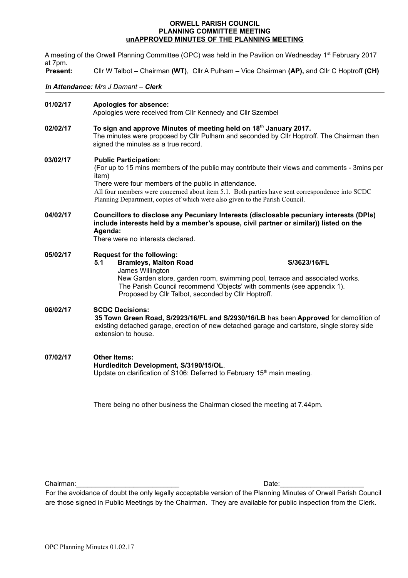#### **ORWELL PARISH COUNCIL PLANNING COMMITTEE MEETING unAPPROVED MINUTES OF THE PLANNING MEETING**

A meeting of the Orwell Planning Committee (OPC) was held in the Pavilion on Wednesday 1<sup>st</sup> February 2017 at 7pm. **Present:** Cllr W Talbot – Chairman **(WT)**, Cllr A Pulham – Vice Chairman **(AP),** and Cllr C Hoptroff **(CH)**  *In Attendance: Mrs J Damant – Clerk* **01/02/17 Apologies for absence:** Apologies were received from Cllr Kennedy and Cllr Szembel **02/02/17 To sign and approve Minutes of meeting held on 18th January 2017.** The minutes were proposed by Cllr Pulham and seconded by Cllr Hoptroff. The Chairman then signed the minutes as a true record. **03/02/17 Public Participation:** (For up to 15 mins members of the public may contribute their views and comments - 3mins per item) There were four members of the public in attendance. All four members were concerned about item 5.1. Both parties have sent correspondence into SCDC Planning Department, copies of which were also given to the Parish Council. **04/02/17 Councillors to disclose any Pecuniary Interests (disclosable pecuniary interests (DPIs)** 

**include interests held by a member's spouse, civil partner or similar)) listed on the Agenda:** There were no interests declared.

### **05/02/17 Request for the following:**

**5.1 Bramleys, Malton Road S/3623/16/FL** James Willington New Garden store, garden room, swimming pool, terrace and associated works. The Parish Council recommend 'Objects' with comments (see appendix 1). Proposed by Cllr Talbot, seconded by Cllr Hoptroff.

## **06/02/17 SCDC Decisions: 35 Town Green Road, S/2923/16/FL and S/2930/16/LB** has been **Approved** for demolition of existing detached garage, erection of new detached garage and cartstore, single storey side extension to house.

**07/02/17 Other Items: Hurdleditch Development, S/3190/15/OL**. Update on clarification of S106: Deferred to February 15<sup>th</sup> main meeting.

There being no other business the Chairman closed the meeting at 7.44pm.

Chairman:\_\_\_\_\_\_\_\_\_\_\_\_\_\_\_\_\_\_\_\_\_\_\_\_\_\_\_ Date:\_\_\_\_\_\_\_\_\_\_\_\_\_\_\_\_\_\_\_\_\_\_

For the avoidance of doubt the only legally acceptable version of the Planning Minutes of Orwell Parish Council are those signed in Public Meetings by the Chairman. They are available for public inspection from the Clerk*.*